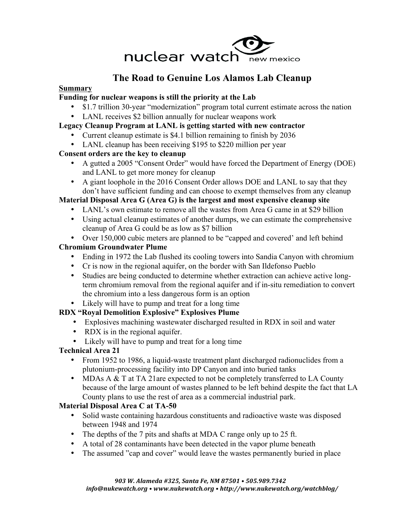

# **The Road to Genuine Los Alamos Lab Cleanup**

#### **Summary**

### **Funding for nuclear weapons is still the priority at the Lab**

- \$1.7 trillion 30-year "modernization" program total current estimate across the nation
- LANL receives \$2 billion annually for nuclear weapons work

## **Legacy Cleanup Program at LANL is getting started with new contractor**

- Current cleanup estimate is \$4.1 billion remaining to finish by 2036
- LANL cleanup has been receiving \$195 to \$220 million per year

### **Consent orders are the key to cleanup**

- A gutted a 2005 "Consent Order" would have forced the Department of Energy (DOE) and LANL to get more money for cleanup
- A giant loophole in the 2016 Consent Order allows DOE and LANL to say that they don't have sufficient funding and can choose to exempt themselves from any cleanup

# **Material Disposal Area G (Area G) is the largest and most expensive cleanup site**

- LANL's own estimate to remove all the wastes from Area G came in at \$29 billion
- Using actual cleanup estimates of another dumps, we can estimate the comprehensive cleanup of Area G could be as low as \$7 billion
- Over 150,000 cubic meters are planned to be "capped and covered' and left behind

# **Chromium Groundwater Plume**

- Ending in 1972 the Lab flushed its cooling towers into Sandia Canyon with chromium
- Cr is now in the regional aquifer, on the border with San Ildefonso Pueblo
- Studies are being conducted to determine whether extraction can achieve active longterm chromium removal from the regional aquifer and if in-situ remediation to convert the chromium into a less dangerous form is an option
- Likely will have to pump and treat for a long time

### **RDX "Royal Demolition Explosive" Explosives Plume**

- Explosives machining wastewater discharged resulted in RDX in soil and water
- RDX is in the regional aquifer.
- Likely will have to pump and treat for a long time

# **Technical Area 21**

- From 1952 to 1986, a liquid-waste treatment plant discharged radionuclides from a plutonium-processing facility into DP Canyon and into buried tanks
- MDAs A & T at TA 21are expected to not be completely transferred to LA County because of the large amount of wastes planned to be left behind despite the fact that LA County plans to use the rest of area as a commercial industrial park.

### **Material Disposal Area C at TA-50**

- Solid waste containing hazardous constituents and radioactive waste was disposed between 1948 and 1974
- The depths of the 7 pits and shafts at MDA C range only up to 25 ft.
- A total of 28 contaminants have been detected in the vapor plume beneath
- The assumed "cap and cover" would leave the wastes permanently buried in place